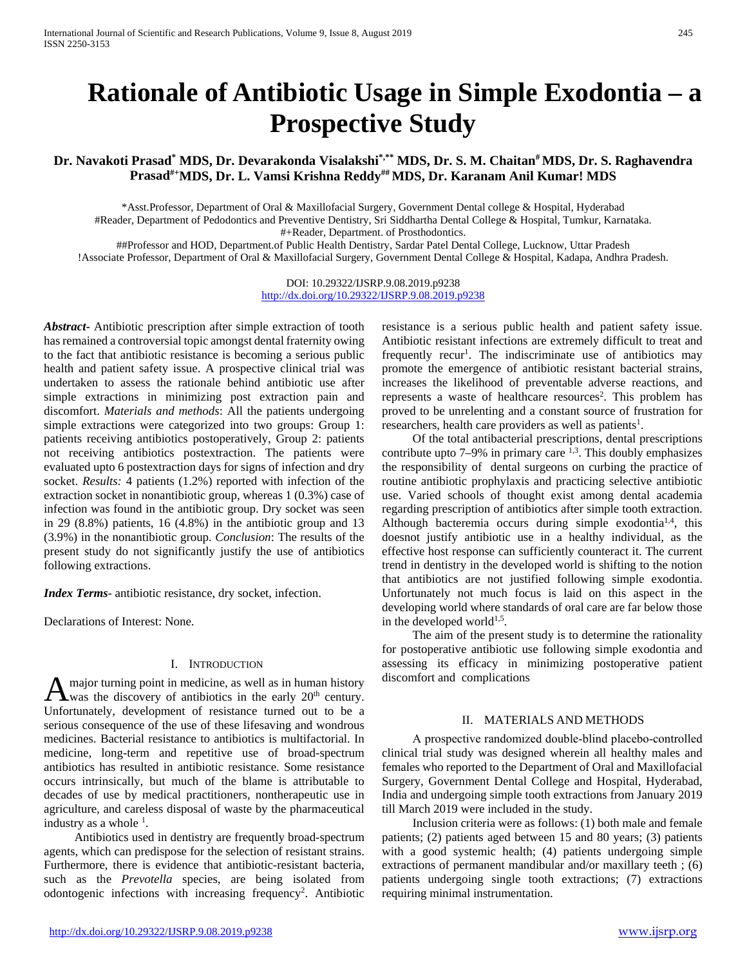# **Rationale of Antibiotic Usage in Simple Exodontia – a Prospective Study**

## **Dr. Navakoti Prasad\* MDS, Dr. Devarakonda Visalakshi\*,\*\* MDS, Dr. S. M. Chaitan# MDS, Dr. S. Raghavendra Prasad#+MDS, Dr. L. Vamsi Krishna Reddy## MDS, Dr. Karanam Anil Kumar! MDS**

\*Asst.Professor, Department of Oral & Maxillofacial Surgery, Government Dental college & Hospital, Hyderabad #Reader, Department of Pedodontics and Preventive Dentistry, Sri Siddhartha Dental College & Hospital, Tumkur, Karnataka. #+Reader, Department. of Prosthodontics.

##Professor and HOD, Department.of Public Health Dentistry, Sardar Patel Dental College, Lucknow, Uttar Pradesh !Associate Professor, Department of Oral & Maxillofacial Surgery, Government Dental College & Hospital, Kadapa, Andhra Pradesh.

> DOI: 10.29322/IJSRP.9.08.2019.p9238 <http://dx.doi.org/10.29322/IJSRP.9.08.2019.p9238>

*Abstract***-** Antibiotic prescription after simple extraction of tooth has remained a controversial topic amongst dental fraternity owing to the fact that antibiotic resistance is becoming a serious public health and patient safety issue. A prospective clinical trial was undertaken to assess the rationale behind antibiotic use after simple extractions in minimizing post extraction pain and discomfort. *Materials and methods*: All the patients undergoing simple extractions were categorized into two groups: Group 1: patients receiving antibiotics postoperatively, Group 2: patients not receiving antibiotics postextraction. The patients were evaluated upto 6 postextraction days for signs of infection and dry socket. *Results:* 4 patients (1.2%) reported with infection of the extraction socket in nonantibiotic group, whereas 1 (0.3%) case of infection was found in the antibiotic group. Dry socket was seen in 29 (8.8%) patients, 16 (4.8%) in the antibiotic group and 13 (3.9%) in the nonantibiotic group*. Conclusion*: The results of the present study do not significantly justify the use of antibiotics following extractions.

*Index Terms*- antibiotic resistance, dry socket, infection.

Declarations of Interest: None.

### I. INTRODUCTION

major turning point in medicine, as well as in human history A major turning point in medicine, as well as in human history<br>was the discovery of antibiotics in the early  $20<sup>th</sup>$  century. Unfortunately, development of resistance turned out to be a serious consequence of the use of these lifesaving and wondrous medicines. Bacterial resistance to antibiotics is multifactorial. In medicine, long-term and repetitive use of broad-spectrum antibiotics has resulted in antibiotic resistance. Some resistance occurs intrinsically, but much of the blame is attributable to decades of use by medical practitioners, nontherapeutic use in agriculture, and careless disposal of waste by the pharmaceutical industry as a whole  $<sup>1</sup>$ .</sup>

 Antibiotics used in dentistry are frequently broad-spectrum agents, which can predispose for the selection of resistant strains. Furthermore, there is evidence that antibiotic-resistant bacteria, such as the *Prevotella* species, are being isolated from odontogenic infections with increasing frequency<sup>2</sup>. Antibiotic resistance is a serious public health and patient safety issue. Antibiotic resistant infections are extremely difficult to treat and frequently recur<sup>1</sup>. The indiscriminate use of antibiotics may promote the emergence of antibiotic resistant bacterial strains, increases the likelihood of preventable adverse reactions, and represents a waste of healthcare resources<sup>2</sup>. This problem has proved to be unrelenting and a constant source of frustration for researchers, health care providers as well as patients<sup>1</sup>.

 Of the total antibacterial prescriptions, dental prescriptions contribute upto  $7-9\%$  in primary care  $^{1,3}$ . This doubly emphasizes the responsibility of dental surgeons on curbing the practice of routine antibiotic prophylaxis and practicing selective antibiotic use. Varied schools of thought exist among dental academia regarding prescription of antibiotics after simple tooth extraction. Although bacteremia occurs during simple exodontia<sup>1,4</sup>, this doesnot justify antibiotic use in a healthy individual, as the effective host response can sufficiently counteract it. The current trend in dentistry in the developed world is shifting to the notion that antibiotics are not justified following simple exodontia. Unfortunately not much focus is laid on this aspect in the developing world where standards of oral care are far below those in the developed world $^{1,5}$ .

 The aim of the present study is to determine the rationality for postoperative antibiotic use following simple exodontia and assessing its efficacy in minimizing postoperative patient discomfort and complications

### II. MATERIALS AND METHODS

 A prospective randomized double‑blind placebo‑controlled clinical trial study was designed wherein all healthy males and females who reported to the Department of Oral and Maxillofacial Surgery, Government Dental College and Hospital, Hyderabad, India and undergoing simple tooth extractions from January 2019 till March 2019 were included in the study.

 Inclusion criteria were as follows: (1) both male and female patients; (2) patients aged between 15 and 80 years; (3) patients with a good systemic health; (4) patients undergoing simple extractions of permanent mandibular and/or maxillary teeth ; (6) patients undergoing single tooth extractions; (7) extractions requiring minimal instrumentation.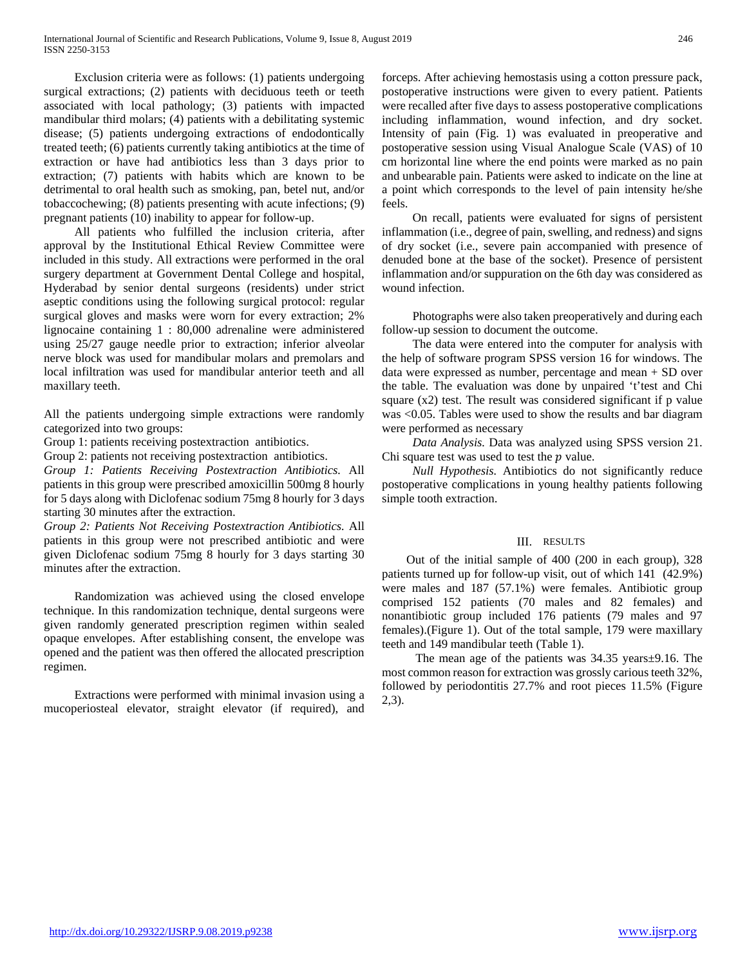Exclusion criteria were as follows: (1) patients undergoing surgical extractions; (2) patients with deciduous teeth or teeth associated with local pathology; (3) patients with impacted mandibular third molars; (4) patients with a debilitating systemic disease; (5) patients undergoing extractions of endodontically treated teeth; (6) patients currently taking antibiotics at the time of extraction or have had antibiotics less than 3 days prior to extraction; (7) patients with habits which are known to be detrimental to oral health such as smoking, pan, betel nut, and/or tobaccochewing; (8) patients presenting with acute infections; (9) pregnant patients (10) inability to appear for follow-up.

 All patients who fulfilled the inclusion criteria, after approval by the Institutional Ethical Review Committee were included in this study. All extractions were performed in the oral surgery department at Government Dental College and hospital, Hyderabad by senior dental surgeons (residents) under strict aseptic conditions using the following surgical protocol: regular surgical gloves and masks were worn for every extraction; 2% lignocaine containing 1 : 80,000 adrenaline were administered using 25/27 gauge needle prior to extraction; inferior alveolar nerve block was used for mandibular molars and premolars and local infiltration was used for mandibular anterior teeth and all maxillary teeth.

All the patients undergoing simple extractions were randomly categorized into two groups:

Group 1: patients receiving postextraction antibiotics.

Group 2: patients not receiving postextraction antibiotics.

*Group 1: Patients Receiving Postextraction Antibiotics.* All patients in this group were prescribed amoxicillin 500mg 8 hourly for 5 days along with Diclofenac sodium 75mg 8 hourly for 3 days starting 30 minutes after the extraction.

*Group 2: Patients Not Receiving Postextraction Antibiotics.* All patients in this group were not prescribed antibiotic and were given Diclofenac sodium 75mg 8 hourly for 3 days starting 30 minutes after the extraction.

 Randomization was achieved using the closed envelope technique. In this randomization technique, dental surgeons were given randomly generated prescription regimen within sealed opaque envelopes. After establishing consent, the envelope was opened and the patient was then offered the allocated prescription regimen.

 Extractions were performed with minimal invasion using a mucoperiosteal elevator, straight elevator (if required), and forceps. After achieving hemostasis using a cotton pressure pack, postoperative instructions were given to every patient. Patients were recalled after five days to assess postoperative complications including inflammation, wound infection, and dry socket. Intensity of pain (Fig. 1) was evaluated in preoperative and postoperative session using Visual Analogue Scale (VAS) of 10 cm horizontal line where the end points were marked as no pain and unbearable pain. Patients were asked to indicate on the line at a point which corresponds to the level of pain intensity he/she feels.

 On recall, patients were evaluated for signs of persistent inflammation (i.e., degree of pain, swelling, and redness) and signs of dry socket (i.e., severe pain accompanied with presence of denuded bone at the base of the socket). Presence of persistent inflammation and/or suppuration on the 6th day was considered as wound infection.

 Photographs were also taken preoperatively and during each follow-up session to document the outcome.

 The data were entered into the computer for analysis with the help of software program SPSS version 16 for windows. The data were expressed as number, percentage and mean + SD over the table. The evaluation was done by unpaired 't'test and Chi square  $(x2)$  test. The result was considered significant if p value was <0.05. Tables were used to show the results and bar diagram were performed as necessary

 *Data Analysis.* Data was analyzed using SPSS version 21. Chi square test was used to test the  $p$  value.

 *Null Hypothesis.* Antibiotics do not significantly reduce postoperative complications in young healthy patients following simple tooth extraction.

### III. RESULTS

 Out of the initial sample of 400 (200 in each group), 328 patients turned up for follow-up visit, out of which 141 (42.9%) were males and 187 (57.1%) were females. Antibiotic group comprised 152 patients (70 males and 82 females) and nonantibiotic group included 176 patients (79 males and 97 females).(Figure 1). Out of the total sample, 179 were maxillary teeth and 149 mandibular teeth (Table 1).

 The mean age of the patients was 34.35 years±9.16. The most common reason for extraction was grossly carious teeth 32%, followed by periodontitis 27.7% and root pieces 11.5% (Figure 2,3).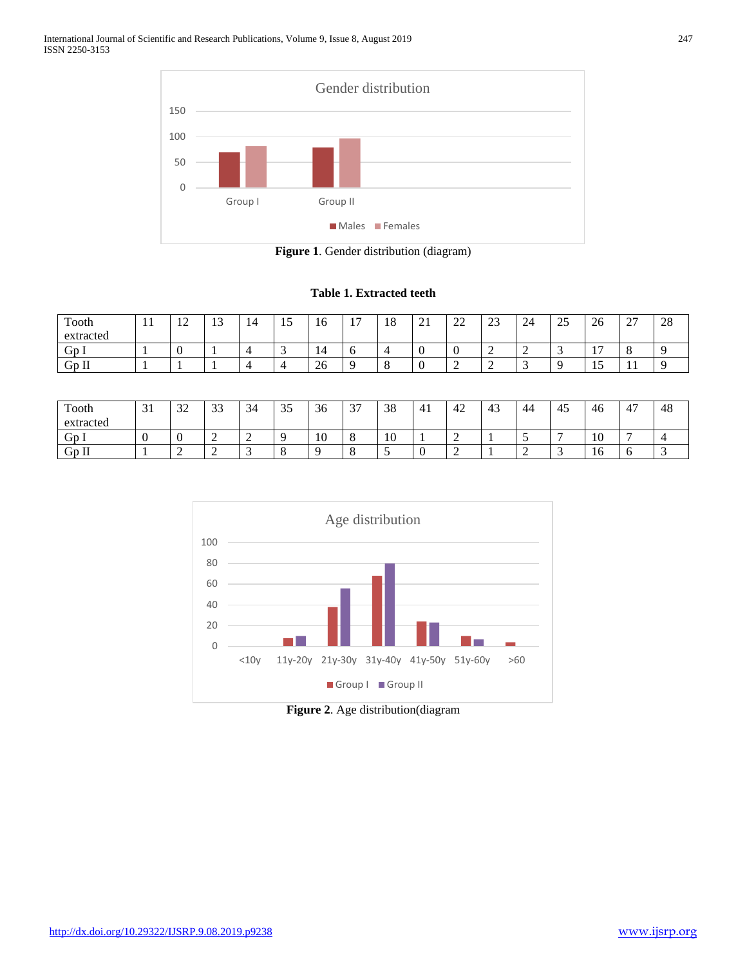

**Figure 1**. Gender distribution (diagram)

### **Table 1. Extracted teeth**

| Tooth<br>extracted | $\mathbf{r}$ | $\sim$<br>$\overline{1}$ | $\overline{\phantom{a}}$<br>IJ | 14 | ⊥ັ | 10           | $\overline{ }$ | 1 O<br>18 | $\sim$<br>41 | $\sim$<br>∠∠ | $\cap$<br>ل ک | 24  | $\sim$ $\sim$<br>ت ک | $\sim$<br>26                               | $\sim$<br>$\overline{\phantom{0}}$ | 28 |
|--------------------|--------------|--------------------------|--------------------------------|----|----|--------------|----------------|-----------|--------------|--------------|---------------|-----|----------------------|--------------------------------------------|------------------------------------|----|
| GD.                |              | ◡                        |                                |    | ັ  | 14           |                |           |              |              | ∽<br>∼        | . . |                      | $\overline{ }$<br>$\overline{\phantom{a}}$ |                                    |    |
| $Gp$ Il            |              |                          |                                |    | ∸  | $\sim$<br>ZΟ |                |           |              | ∠            | -             |     |                      | . L J                                      | . .                                |    |

| Tooth<br>extracted | $\sim$ 1<br>◡ | $\sim$<br>ستدب | $\bigcap$<br>ن ر | 34<br>$\overline{\phantom{0}}$ | $\sim$ $\sim$<br>ں ر | $\sim$<br>- 30 | $\sim$<br>◡ | ാറ<br>38 | 4 <sub>1</sub> | 42 | 4 <sup>2</sup><br>⊤ | $\overline{\phantom{a}}$<br>44 | -<br>4. | ╭<br>46 | $\overline{A}$<br>4 | 48 |
|--------------------|---------------|----------------|------------------|--------------------------------|----------------------|----------------|-------------|----------|----------------|----|---------------------|--------------------------------|---------|---------|---------------------|----|
| Gp I               | ◟             | ◡              |                  | ∸                              |                      | - 40<br>1 U    |             | 10       |                | -  |                     | <u>ب</u>                       |         | 10      |                     |    |
| $Gp$ Il            |               | ∽<br>∸         | . .              | -<br>້                         | $\epsilon$<br>x.     |                |             |          |                | -  |                     |                                |         | -<br>10 |                     |    |



**Figure 2**. Age distribution(diagram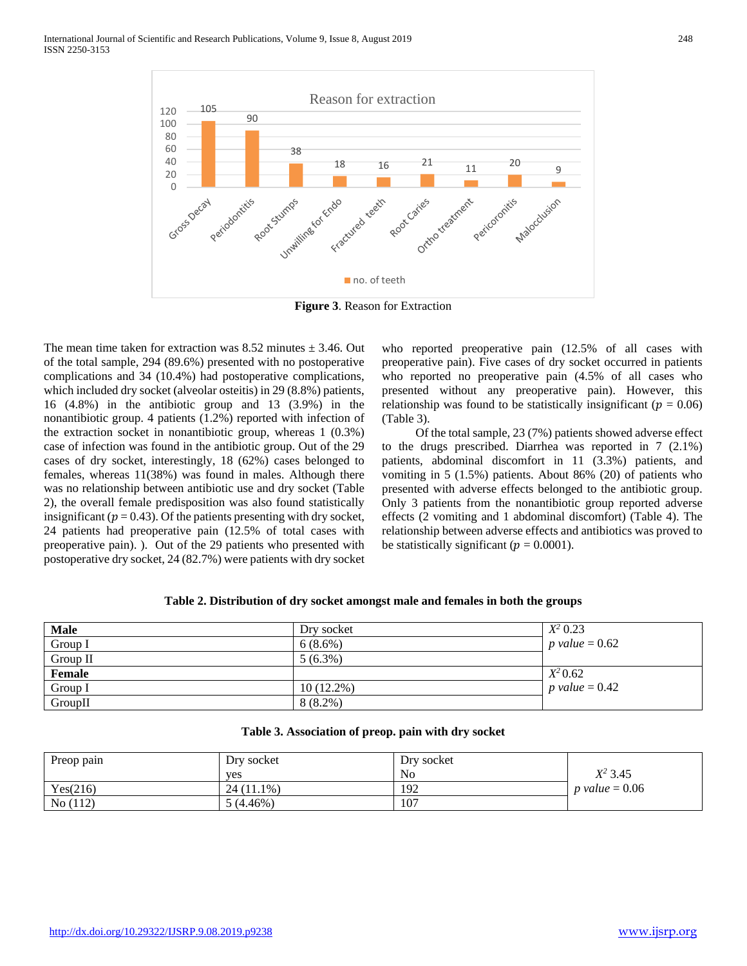

**Figure 3**. Reason for Extraction

The mean time taken for extraction was  $8.52$  minutes  $\pm 3.46$ . Out of the total sample, 294 (89.6%) presented with no postoperative complications and 34 (10.4%) had postoperative complications, which included dry socket (alveolar osteitis) in 29 (8.8%) patients, 16 (4.8%) in the antibiotic group and 13 (3.9%) in the nonantibiotic group. 4 patients (1.2%) reported with infection of the extraction socket in nonantibiotic group, whereas 1 (0.3%) case of infection was found in the antibiotic group. Out of the 29 cases of dry socket, interestingly, 18 (62%) cases belonged to females, whereas 11(38%) was found in males. Although there was no relationship between antibiotic use and dry socket (Table 2), the overall female predisposition was also found statistically insignificant ( $p = 0.43$ ). Of the patients presenting with dry socket, 24 patients had preoperative pain (12.5% of total cases with preoperative pain). ). Out of the 29 patients who presented with postoperative dry socket, 24 (82.7%) were patients with dry socket who reported preoperative pain (12.5% of all cases with preoperative pain). Five cases of dry socket occurred in patients who reported no preoperative pain (4.5% of all cases who presented without any preoperative pain). However, this relationship was found to be statistically insignificant ( $p = 0.06$ ) (Table 3).

 Of the total sample, 23 (7%) patients showed adverse effect to the drugs prescribed. Diarrhea was reported in 7 (2.1%) patients, abdominal discomfort in 11 (3.3%) patients, and vomiting in 5 (1.5%) patients. About 86% (20) of patients who presented with adverse effects belonged to the antibiotic group. Only 3 patients from the nonantibiotic group reported adverse effects (2 vomiting and 1 abdominal discomfort) (Table 4). The relationship between adverse effects and antibiotics was proved to be statistically significant ( $p = 0.0001$ ).

|  |  | Table 2. Distribution of dry socket amongst male and females in both the groups |
|--|--|---------------------------------------------------------------------------------|
|--|--|---------------------------------------------------------------------------------|

| <b>Male</b> | Dry socket   | $X^2$ 0.23       |
|-------------|--------------|------------------|
| Group I     | $6(8.6\%)$   | p value $= 0.62$ |
| Group II    | $5(6.3\%)$   |                  |
| Female      |              | $X^2 0.62$       |
| Group I     | $10(12.2\%)$ | p value $= 0.42$ |
| GroupII     | $8(8.2\%)$   |                  |

| Preop pain | Dry socket<br>yes | Dry socket<br>N <sub>0</sub> | $X^2$ 3.45       |
|------------|-------------------|------------------------------|------------------|
| Yes(216)   | $24(11.1\%)$      | 192                          | p value $= 0.06$ |
| No(112)    | $5(4.46\%)$       | 107                          |                  |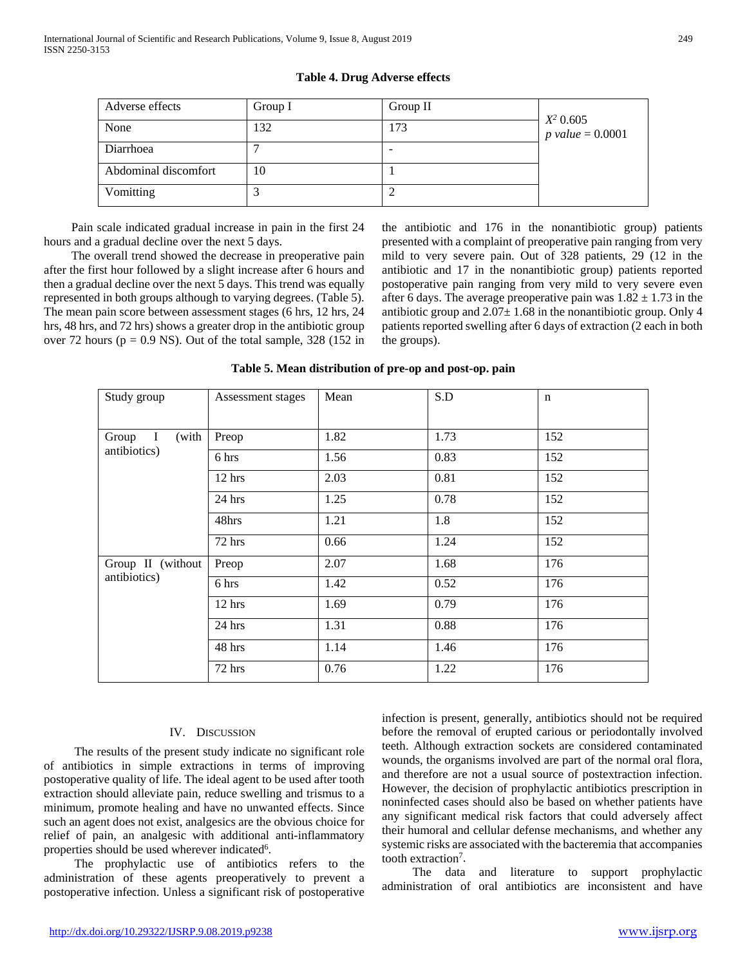# Adverse effects Group I Group II *X2* 0.605 **P** value = 0.0001 132 173 173 Diarrhoea 7 Abdominal discomfort 10 10 Vomitting 3 2

**Table 4. Drug Adverse effects**

 Pain scale indicated gradual increase in pain in the first 24 hours and a gradual decline over the next 5 days.

 The overall trend showed the decrease in preoperative pain after the first hour followed by a slight increase after 6 hours and then a gradual decline over the next 5 days. This trend was equally represented in both groups although to varying degrees. (Table 5). The mean pain score between assessment stages (6 hrs, 12 hrs, 24 hrs, 48 hrs, and 72 hrs) shows a greater drop in the antibiotic group over 72 hours ( $p = 0.9$  NS). Out of the total sample, 328 (152 in the antibiotic and 176 in the nonantibiotic group) patients presented with a complaint of preoperative pain ranging from very mild to very severe pain. Out of 328 patients, 29 (12 in the antibiotic and 17 in the nonantibiotic group) patients reported postoperative pain ranging from very mild to very severe even after 6 days. The average preoperative pain was  $1.82 \pm 1.73$  in the antibiotic group and  $2.07\pm1.68$  in the nonantibiotic group. Only 4 patients reported swelling after 6 days of extraction (2 each in both the groups).

### **Table 5. Mean distribution of pre-op and post-op. pain**

| Study group                   | Assessment stages | Mean | S.D  | n   |
|-------------------------------|-------------------|------|------|-----|
| (with<br>$\mathbf I$<br>Group | Preop             | 1.82 | 1.73 | 152 |
| antibiotics)                  | 6 hrs             | 1.56 | 0.83 | 152 |
|                               | 12 hrs            | 2.03 | 0.81 | 152 |
|                               | $24$ hrs          | 1.25 | 0.78 | 152 |
|                               | 48hrs             | 1.21 | 1.8  | 152 |
|                               | 72 hrs            | 0.66 | 1.24 | 152 |
| Group II (without             | Preop             | 2.07 | 1.68 | 176 |
| antibiotics)                  | 6 hrs             | 1.42 | 0.52 | 176 |
|                               | $12$ hrs          | 1.69 | 0.79 | 176 |
|                               | $24$ hrs          | 1.31 | 0.88 | 176 |
|                               | 48 hrs            | 1.14 | 1.46 | 176 |
|                               | 72 hrs            | 0.76 | 1.22 | 176 |

### IV. DISCUSSION

 The results of the present study indicate no significant role of antibiotics in simple extractions in terms of improving postoperative quality of life. The ideal agent to be used after tooth extraction should alleviate pain, reduce swelling and trismus to a minimum, promote healing and have no unwanted effects. Since such an agent does not exist, analgesics are the obvious choice for relief of pain, an analgesic with additional anti-inflammatory properties should be used wherever indicated<sup>6</sup>.

 The prophylactic use of antibiotics refers to the administration of these agents preoperatively to prevent a postoperative infection. Unless a significant risk of postoperative

infection is present, generally, antibiotics should not be required before the removal of erupted carious or periodontally involved teeth. Although extraction sockets are considered contaminated wounds, the organisms involved are part of the normal oral flora, and therefore are not a usual source of postextraction infection. However, the decision of prophylactic antibiotics prescription in noninfected cases should also be based on whether patients have any significant medical risk factors that could adversely affect their humoral and cellular defense mechanisms, and whether any systemic risks are associated with the bacteremia that accompanies tooth extraction<sup>7</sup>.

 The data and literature to support prophylactic administration of oral antibiotics are inconsistent and have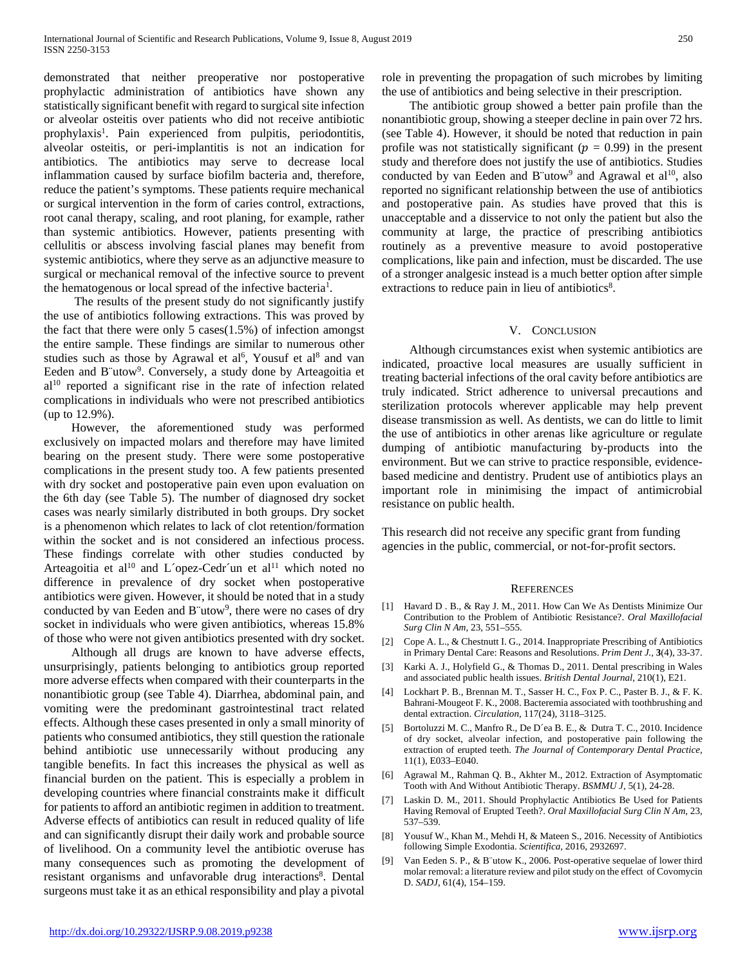demonstrated that neither preoperative nor postoperative prophylactic administration of antibiotics have shown any statistically significant benefit with regard to surgical site infection or alveolar osteitis over patients who did not receive antibiotic prophylaxis<sup>1</sup>. Pain experienced from pulpitis, periodontitis, alveolar osteitis, or peri-implantitis is not an indication for antibiotics. The antibiotics may serve to decrease local inflammation caused by surface biofilm bacteria and, therefore, reduce the patient's symptoms. These patients require mechanical or surgical intervention in the form of caries control, extractions, root canal therapy, scaling, and root planing, for example, rather than systemic antibiotics. However, patients presenting with cellulitis or abscess involving fascial planes may benefit from systemic antibiotics, where they serve as an adjunctive measure to surgical or mechanical removal of the infective source to prevent the hematogenous or local spread of the infective bacteria<sup>1</sup>.

 The results of the present study do not significantly justify the use of antibiotics following extractions. This was proved by the fact that there were only 5 cases $(1.5\%)$  of infection amongst the entire sample. These findings are similar to numerous other studies such as those by Agrawal et al<sup>6</sup>, Yousuf et al<sup>8</sup> and van Eeden and B"utow<sup>9</sup>. Conversely, a study done by Arteagoitia et  $al<sup>10</sup>$  reported a significant rise in the rate of infection related complications in individuals who were not prescribed antibiotics (up to 12.9%).

 However, the aforementioned study was performed exclusively on impacted molars and therefore may have limited bearing on the present study. There were some postoperative complications in the present study too. A few patients presented with dry socket and postoperative pain even upon evaluation on the 6th day (see Table 5). The number of diagnosed dry socket cases was nearly similarly distributed in both groups. Dry socket is a phenomenon which relates to lack of clot retention/formation within the socket and is not considered an infectious process. These findings correlate with other studies conducted by Arteagoitia et al<sup>10</sup> and L'opez-Cedr'un et al<sup>11</sup> which noted no difference in prevalence of dry socket when postoperative antibiotics were given. However, it should be noted that in a study conducted by van Eeden and B"utow<sup>9</sup>, there were no cases of dry socket in individuals who were given antibiotics, whereas 15.8% of those who were not given antibiotics presented with dry socket.

 Although all drugs are known to have adverse effects, unsurprisingly, patients belonging to antibiotics group reported more adverse effects when compared with their counterparts in the nonantibiotic group (see Table 4). Diarrhea, abdominal pain, and vomiting were the predominant gastrointestinal tract related effects. Although these cases presented in only a small minority of patients who consumed antibiotics, they still question the rationale behind antibiotic use unnecessarily without producing any tangible benefits. In fact this increases the physical as well as financial burden on the patient. This is especially a problem in developing countries where financial constraints make it difficult for patients to afford an antibiotic regimen in addition to treatment. Adverse effects of antibiotics can result in reduced quality of life and can significantly disrupt their daily work and probable source of livelihood. On a community level the antibiotic overuse has many consequences such as promoting the development of resistant organisms and unfavorable drug interactions<sup>8</sup>. Dental surgeons must take it as an ethical responsibility and play a pivotal

role in preventing the propagation of such microbes by limiting the use of antibiotics and being selective in their prescription.

 The antibiotic group showed a better pain profile than the nonantibiotic group, showing a steeper decline in pain over 72 hrs. (see Table 4). However, it should be noted that reduction in pain profile was not statistically significant ( $p = 0.99$ ) in the present study and therefore does not justify the use of antibiotics. Studies conducted by van Eeden and B"utow<sup>9</sup> and Agrawal et al<sup>10</sup>, also reported no significant relationship between the use of antibiotics and postoperative pain. As studies have proved that this is unacceptable and a disservice to not only the patient but also the community at large, the practice of prescribing antibiotics routinely as a preventive measure to avoid postoperative complications, like pain and infection, must be discarded. The use of a stronger analgesic instead is a much better option after simple extractions to reduce pain in lieu of antibiotics<sup>8</sup>.

### V. CONCLUSION

 Although circumstances exist when systemic antibiotics are indicated, proactive local measures are usually sufficient in treating bacterial infections of the oral cavity before antibiotics are truly indicated. Strict adherence to universal precautions and sterilization protocols wherever applicable may help prevent disease transmission as well. As dentists, we can do little to limit the use of antibiotics in other arenas like agriculture or regulate dumping of antibiotic manufacturing by-products into the environment. But we can strive to practice responsible, evidencebased medicine and dentistry. Prudent use of antibiotics plays an important role in minimising the impact of antimicrobial resistance on public health.

This research did not receive any specific grant from funding agencies in the public, commercial, or not-for-profit sectors.

### **REFERENCES**

- [1] Havard D. B., & Ray J. M., 2011. How Can We As Dentists Minimize Our Contribution to the Problem of Antibiotic Resistance?. *Oral Maxillofacial Surg Clin N Am,* 23, 551–555.
- [2] Cope A. L., & Chestnutt I. G., 2014. Inappropriate Prescribing of Antibiotics in Primary Dental Care: Reasons and Resolutions. *Prim Dent J.,* **3**(4), 33-37.
- [3] Karki A. J., Holyfield G., & Thomas D., 2011. Dental prescribing in Wales and associated public health issues. *British Dental Journal*, 210(1), E21.
- [4] Lockhart P. B., Brennan M. T., Sasser H. C., Fox P. C., Paster B. J., & F. K. Bahrani-Mougeot F. K., 2008. Bacteremia associated with toothbrushing and dental extraction. *Circulation*, 117(24), 3118–3125.
- [5] Bortoluzzi M. C., Manfro R., De D´ea B. E., & Dutra T. C., 2010. Incidence of dry socket, alveolar infection, and postoperative pain following the extraction of erupted teeth. *The Journal of Contemporary Dental Practice*, 11(1), E033–E040.
- [6] Agrawal M., Rahman Q. B., Akhter M., 2012. Extraction of Asymptomatic Tooth with And Without Antibiotic Therapy. *BSMMU J,* 5(1), 24-28.
- [7] Laskin D. M., 2011. Should Prophylactic Antibiotics Be Used for Patients Having Removal of Erupted Teeth?. *Oral Maxillofacial Surg Clin N Am*, 23, 537–539.
- [8] Yousuf W., Khan M., Mehdi H, & Mateen S., 2016. Necessity of Antibiotics following Simple Exodontia. *Scientifica,* 2016, 2932697.
- [9] Van Eeden S. P., & B¨utow K., 2006. Post-operative sequelae of lower third molar removal: a literature review and pilot study on the effect of Covomycin D. *SADJ*, 61(4), 154–159.